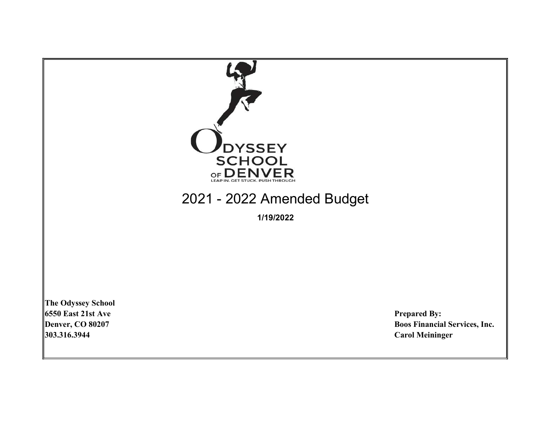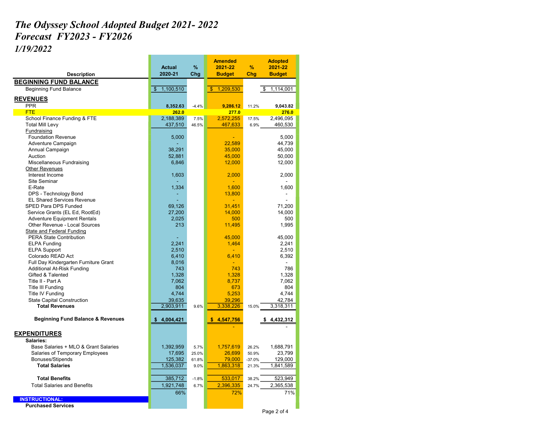## The Odyssey School Adopted Budget 2021- 2022 Forecast FY2023 - FY2026

1/19/2022

|                                              | <b>Actual</b>   | %       | <b>Amended</b><br>2021-22  | %        | <b>Adopted</b><br>2021-22 |
|----------------------------------------------|-----------------|---------|----------------------------|----------|---------------------------|
| <b>Description</b>                           | 2020-21         | Chg     | <b>Budget</b>              | Chg      | <b>Budget</b>             |
| <b>BEGINNING FUND BALANCE</b>                |                 |         |                            |          |                           |
| <b>Beginning Fund Balance</b>                | 1,100,510<br>\$ |         | $\mathbf{\$}$<br>1,209,530 |          | 1,114,001<br>\$           |
|                                              |                 |         |                            |          |                           |
| <b>REVENUES</b>                              |                 |         |                            |          |                           |
| <b>PPR</b>                                   | 8,352.63        | $-4.4%$ | 9,286.12                   | 11.2%    | 9,043.82                  |
| <b>FTE</b>                                   | 262.0           |         | 277.0                      |          | 276.0                     |
| School Finance Funding & FTE                 | 2,188,389       | 7.5%    | 2,572,255                  | 17.5%    | 2,496,095                 |
| <b>Total Mill Levy</b>                       | 437,510         | 46.5%   | 467,633                    | 6.9%     | 460,530                   |
| Fundraising                                  |                 |         |                            |          |                           |
| <b>Foundation Revenue</b>                    | 5,000           |         |                            |          | 5,000                     |
| Adventure Campaign                           |                 |         | 22,589                     |          | 44,739                    |
| Annual Campaign<br>Auction                   | 38,291          |         | 35,000                     |          | 45,000                    |
| Miscellaneous Fundraising                    | 52,881          |         | 45,000                     |          | 50,000                    |
| <b>Other Revenues</b>                        | 6,846           |         | 12,000                     |          | 12,000                    |
| Interest Income                              | 1,603           |         | 2,000                      |          | 2,000                     |
| Site Seminar                                 |                 |         |                            |          |                           |
| E-Rate                                       | 1,334           |         | 1,600                      |          | 1,600                     |
| DPS - Technology Bond                        |                 |         | 13,800                     |          |                           |
| <b>EL Shared Services Revenue</b>            |                 |         | ÷.                         |          |                           |
| SPED Para DPS Funded                         | 69,126          |         | 31.451                     |          | 71,200                    |
| Service Grants (EL Ed, RootEd)               | 27,200          |         | 14,000                     |          | 14,000                    |
| <b>Adventure Equipment Rentals</b>           | 2,025           |         | 500                        |          | 500                       |
| Other Revenue - Local Sources                | 213             |         | 11,495                     |          | 1,995                     |
| State and Federal Funding                    |                 |         |                            |          |                           |
| <b>PERA State Contribution</b>               |                 |         | 45,000                     |          | 45,000                    |
| <b>ELPA Funding</b>                          | 2,241           |         | 1,464                      |          | 2,241                     |
| <b>ELPA Support</b>                          | 2,510           |         | $\blacksquare$             |          | 2,510                     |
| Colorado READ Act                            | 6,410           |         | 6,410                      |          | 6,392                     |
| Full Day Kindergarten Furniture Grant        | 8,016           |         |                            |          |                           |
| Additional At-Risk Funding                   | 743             |         | 743                        |          | 786                       |
| Gifted & Talented                            | 1,328           |         | 1,328                      |          | 1,328                     |
| Title II - Part A                            | 7,062           |         | 8,737                      |          | 7,062                     |
| <b>Title III Funding</b>                     | 804             |         | 673                        |          | 804                       |
| Title IV Funding                             | 4,744           |         | 5,253                      |          | 4,744                     |
| <b>State Capital Construction</b>            | 39,635          |         | 39,296                     |          | 42,784                    |
| <b>Total Revenues</b>                        | 2,903,911       | 9.6%    | 3,338,226                  | 15.0%    | 3,318,311                 |
| <b>Beginning Fund Balance &amp; Revenues</b> | \$4,004,421     |         | \$<br>4,547,756            |          | 4,432,312                 |
|                                              |                 |         |                            |          |                           |
| <b>EXPENDITURES</b>                          |                 |         |                            |          |                           |
| Salaries:                                    |                 |         |                            |          |                           |
| Base Salaries + MLO & Grant Salaries         | 1,392,959       | 5.7%    | 1,757,619                  | 26.2%    | 1,688,791                 |
| Salaries of Temporary Employees              | 17,695          | 25.0%   | 26,699                     | 50.9%    | 23,799                    |
| Bonuses/Stipends                             | 125,382         | 61.8%   | 79,000                     | $-37.0%$ | 129,000                   |
| <b>Total Salaries</b>                        | 1,536,037       | 9.0%    | 1,863,318                  | 21.3%    | 1,841,589                 |
|                                              |                 |         |                            |          |                           |
| <b>Total Benefits</b>                        | 385,712         | $-1.8%$ | 533,017                    | 38.2%    | 523,949                   |
| <b>Total Salaries and Benefits</b>           | 1,921,748       | 6.7%    | 2,396,335                  | 24.7%    | 2,365,538                 |
|                                              | 66%             |         | 72%                        |          | 71%                       |
| <b>INSTRUCTIONAL:</b>                        |                 |         |                            |          |                           |
| <b>Purchased Services</b>                    |                 |         |                            |          |                           |
|                                              |                 |         |                            |          | Page 2 of 4               |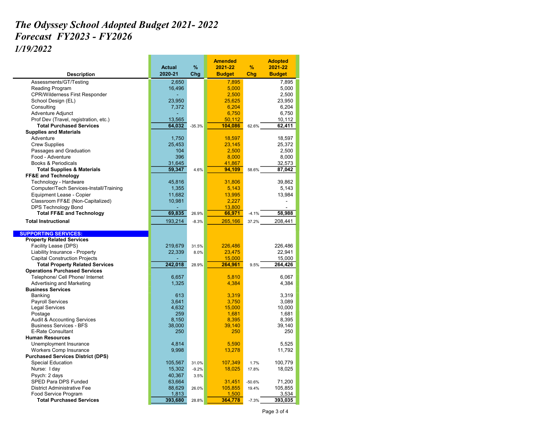## The Odyssey School Adopted Budget 2021- 2022 Forecast FY2023 - FY2026 1/19/2022

|                                          |               |          | <b>Amended</b> |          | <b>Adopted</b> |
|------------------------------------------|---------------|----------|----------------|----------|----------------|
|                                          | <b>Actual</b> | %        | 2021-22        | %        | 2021-22        |
| <b>Description</b>                       | 2020-21       | Chg      | <b>Budget</b>  | Chg      | <b>Budget</b>  |
| Assessments/GT/Testing                   | 2,650         |          | 7,895          |          | 7,895          |
| Reading Program                          | 16,496        |          | 5,000          |          | 5,000          |
| <b>CPR/Wilderness First Responder</b>    |               |          | 2,500          |          | 2,500          |
| School Design (EL)                       | 23,950        |          | 25,625         |          | 23,950         |
| Consulting                               | 7,372         |          | 6,204          |          | 6,204          |
| Adventure Adjunct                        |               |          | 6,750          |          | 6,750          |
| Prof Dev (Travel, registration, etc.)    | 13,565        |          | 50,112         |          | 10,112         |
| <b>Total Purchased Services</b>          | 64,032        | $-35.3%$ | 104,086        | 62.6%    | 62,411         |
| <b>Supplies and Materials</b>            |               |          |                |          |                |
| Adventure                                | 1,750         |          | 18,597         |          | 18,597         |
| <b>Crew Supplies</b>                     | 25,453        |          | 23,145         |          | 25,372         |
| Passages and Graduation                  | 104           |          | 2,500          |          | 2,500          |
| Food - Adventure                         | 396           |          | 8,000          |          | 8,000          |
| <b>Books &amp; Periodicals</b>           | 31.645        |          | 41,867         |          | 32,573         |
| <b>Total Supplies &amp; Materials</b>    | 59,347        | 4.6%     | 94,109         | 58.6%    | 87,042         |
| <b>FF&amp;E and Technology</b>           |               |          |                |          |                |
| Technology - Hardware                    | 45,816        |          | 31,806         |          | 39,862         |
| Computer/Tech Services-Install/Training  | 1,355         |          | 5,143          |          | 5,143          |
| Equipment Lease - Copier                 | 11,682        |          | 13,995         |          | 13,984         |
| Classroom FF&E (Non-Capitalized)         | 10,981        |          | 2,227          |          |                |
| <b>DPS Technology Bond</b>               |               |          | 13,800         |          |                |
| <b>Total FF&amp;E and Technology</b>     | 69,835        | 26.9%    | 66,971         | $-4.1%$  | 58,988         |
| <b>Total Instructional</b>               | 193,214       | $-8.3%$  | 265,166        | 37.2%    | 208,441        |
|                                          |               |          |                |          |                |
| <b>SUPPORTING SERVICES:</b>              |               |          |                |          |                |
| <b>Property Related Services</b>         |               |          |                |          |                |
| Facility Lease (DPS)                     | 219,679       | 31.5%    | 226,486        |          | 226,486        |
| Liability Insurance - Property           | 22,339        | 8.0%     | 23,475         |          | 22,941         |
| <b>Capital Construction Projects</b>     |               |          | 15,000         |          | 15,000         |
| <b>Total Property Related Services</b>   | 242,018       | 28.9%    | 264,961        | 9.5%     | 264,426        |
| <b>Operations Purchased Services</b>     |               |          |                |          |                |
| Telephone/ Cell Phone/ Internet          | 6,657         |          | 5,810          |          | 6,067          |
| Advertising and Marketing                | 1,325         |          | 4,384          |          | 4,384          |
| <b>Business Services</b>                 |               |          |                |          |                |
| Banking                                  | 613           |          | 3,319          |          | 3,319          |
| <b>Payroll Services</b>                  | 3,641         |          | 3,750          |          | 3,089          |
| <b>Legal Services</b>                    | 4,632         |          | 15,000         |          | 10,000         |
| Postage                                  | 259           |          | 1,681          |          | 1,681          |
| <b>Audit &amp; Accounting Services</b>   | 8.150         |          | 8,395          |          | 8,395          |
| <b>Business Services - BFS</b>           | 38,000        |          | 39,140         |          | 39,140         |
| <b>E-Rate Consultant</b>                 | 250           |          | 250            |          | 250            |
| <b>Human Resources</b>                   |               |          |                |          |                |
| Unemployment Insurance                   | 4,814         |          | 5,590          |          | 5,525          |
| Workers Comp Insurance                   | 9,998         |          | 13,278         |          | 11,792         |
| <b>Purchased Services District (DPS)</b> |               |          |                |          |                |
| Special Education                        | 105,567       | 31.0%    | 107,349        | 1.7%     | 100,779        |
| Nurse: I day                             | 15,302        | $-9.2%$  | 18,025         | 17.8%    | 18,025         |
| Psych: 2 days                            | 40,367        | 3.5%     |                |          |                |
| SPED Para DPS Funded                     | 63,664        |          | 31,451         | $-50.6%$ | 71,200         |
| <b>District Administrative Fee</b>       | 88,629        | 26.0%    | 105,855        | 19.4%    | 105,855        |
| Food Service Program                     | 1,813         |          | 1,500          |          | 3,534          |
| <b>Total Purchased Services</b>          | 393,680       | 28.8%    | 364,778        | $-7.3%$  | 393,035        |